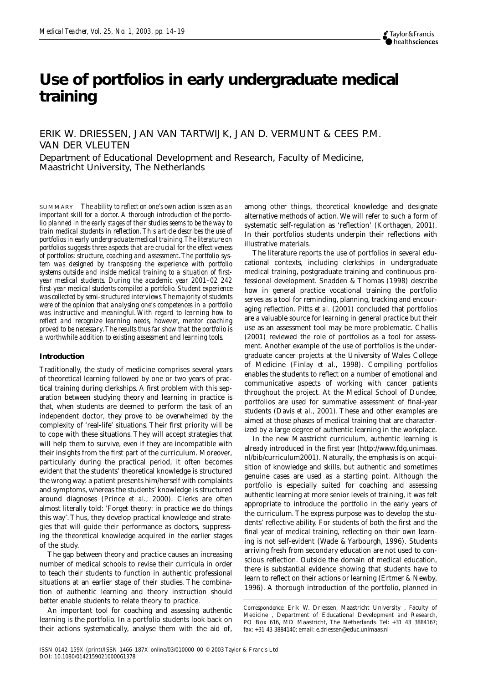# **Use of portfolios in early undergraduate medical training**

ERIK W. DRIESSEN, JAN VAN TARTWIJK, JAN D. VERMUNT & CEES P.M. VAN DER VLEUTEN

*Department of Educational Development and Research, Faculty of Medicine, Maastricht University, The Netherlands*

SUMMARY *The ability to reflect on one's own action is seen as an important skill for a doctor. A thorough introduction of the portfolio planned in the early stages of their studies seems to be the way to train medical students in reflection.This article describes the use of portfolios in early undergraduate medical training.The literature on portfolios suggests three aspects that are crucial for the effectiveness of portfolios: structure, coaching and assessment.The portfolio system was designed by transposing the experience with portfolio systems outside and inside medical training to a situation of firstyear medical students. During the academic year 2001–02 242 first-year medical students compiled a portfolio. Student experience was collected by semi-structured interviews.The majority of students were of the opinion that analysing one's competences in a portfolio was instructive and meaningful.With regard to learning how to reflect and recognize learning needs, however, mentor coaching proved to be necessary.The results thus far show that the portfolio is a worthwhile addition to existing assessment and learning tools.*

# **Introduction**

Traditionally, the study of medicine comprises several years of theoretical learning followed by one or two years of practical training during clerkships. A first problem with this separation between studying theory and learning in practice is that, when students are deemed to perform the task of an independent doctor, they prove to be overwhelmed by the complexity of 'real-life' situations. Their first priority will be to cope with these situations. They will accept strategies that will help them to survive, even if they are incompatible with their insights from the first part of the curriculum. Moreover, particularly during the practical period, it often becomes evident that the students' theoretical knowledge is structured the wrong way: a patient presents him/herself with complaints and symptoms, whereas the students' knowledge is structured around diagnoses (Prince *et al*., 2000). Clerks are often almost literally told: 'Forget theory: in practice we do things this way'. Thus, they develop practical knowledge and strategies that will guide their performance as doctors, suppressing the theoretical knowledge acquired in the earlier stages of the study.

The gap between theory and practice causes an increasing number of medical schools to revise their curricula in order to teach their students to function in authentic professional situations at an earlier stage of their studies. The combination of authentic learning and theory instruction should better enable students to relate theory to practice.

An important tool for coaching and assessing authentic learning is the portfolio. In a portfolio students look back on their actions systematically, analyse them with the aid of,

among other things, theoretical knowledge and designate alternative methods of action. We will refer to such a form of systematic self-regulation as 'reflection' (Korthagen, 2001). In their portfolios students underpin their reflections with illustrative materials.

The literature reports the use of portfolios in several educational contexts, including clerkships in undergraduate medical training, postgraduate training and continuous professional development. Snadden & Thomas (1998) describe how in general practice vocational training the portfolio serves as a tool for reminding, planning, tracking and encouraging reflection. Pitts *et al*. (2001) concluded that portfolios are a valuable source for learning in general practice but their use as an assessment tool may be more problematic. Challis (2001) reviewed the role of portfolios as a tool for assessment. Another example of the use of portfolios is the undergraduate cancer projects at the University of Wales College of Medicine (Finlay *et al*., 1998). Compiling portfolios enables the students to reflect on a number of emotional and communicative aspects of working with cancer patients throughout the project. At the Medical School of Dundee, portfolios are used for summative assessment of final-year students (Davis *et al*., 2001). These and other examples are aimed at those phases of medical training that are characterized by a large degree of authentic learning in the workplace.

In the new Maastricht curriculum, authentic learning is already introduced in the first year (http://www.fdg.unimaas. nl/bib/curriculum2001). Naturally, the emphasis is on acquisition of knowledge and skills, but authentic and sometimes genuine cases are used as a starting point. Although the portfolio is especially suited for coaching and assessing authentic learning at more senior levels of training, it was felt appropriate to introduce the portfolio in the early years of the curriculum. The express purpose was to develop the students' reflective ability. For students of both the first and the final year of medical training, reflecting on their own learning is not self-evident (Wade & Yarbourgh, 1996). Students arriving fresh from secondary education are not used to conscious reflection. Outside the domain of medical education, there is substantial evidence showing that students have to learn to reflect on their actions or learning (Ertmer & Newby, 1996). A thorough introduction of the portfolio, planned in

*Correspondence*: Erik W. Driessen, Maastricht University , Faculty of Medicine , Department of Educational Development and Research, PO Box 616, MD Maastricht, The Netherlands. Tel: +31 43 3884167; fax: +31 43 3884140; email: e.driessen@educ.unimaas.nl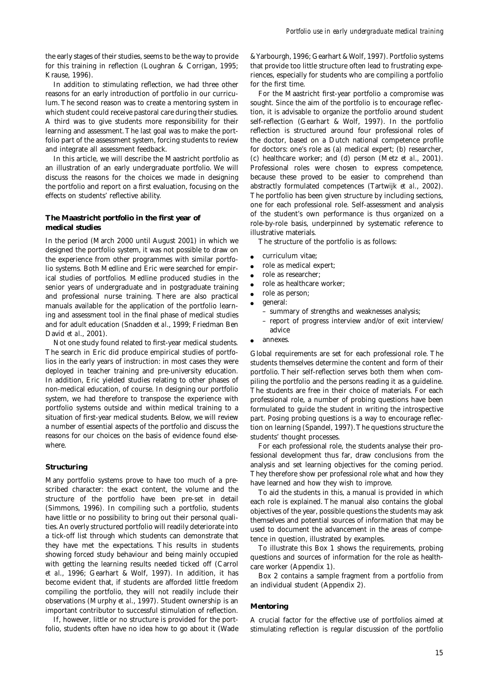the early stages of their studies, seems to be the way to provide for this training in reflection (Loughran & Corrigan, 1995; Krause, 1996).

In addition to stimulating reflection, we had three other reasons for an early introduction of portfolio in our curriculum. The second reason was to create a mentoring system in which student could receive pastoral care during their studies. A third was to give students more responsibility for their learning and assessment. The last goal was to make the portfolio part of the assessment system, forcing students to review and integrate all assessment feedback.

In this article, we will describe the Maastricht portfolio as an illustration of an early undergraduate portfolio. We will discuss the reasons for the choices we made in designing the portfolio and report on a first evaluation, focusing on the effects on students' reflective ability.

# **The Maastricht portfolio in the first year of medical studies**

In the period (March 2000 until August 2001) in which we designed the portfolio system, it was not possible to draw on the experience from other programmes with similar portfolio systems. Both Medline and Eric were searched for empirical studies of portfolios. Medline produced studies in the senior years of undergraduate and in postgraduate training and professional nurse training. There are also practical manuals available for the application of the portfolio learning and assessment tool in the final phase of medical studies and for adult education (Snadden *et al*., 1999; Friedman Ben David *et al*., 2001).

Not one study found related to first-year medical students. The search in Eric did produce empirical studies of portfolios in the early years of instruction: in most cases they were deployed in teacher training and pre-university education. In addition, Eric yielded studies relating to other phases of non-medical education, of course. In designing our portfolio system, we had therefore to transpose the experience with portfolio systems outside and within medical training to a situation of first-year medical students. Below, we will review a number of essential aspects of the portfolio and discuss the reasons for our choices on the basis of evidence found elsewhere.

# **Structuring**

Many portfolio systems prove to have too much of a prescribed character: the exact content, the volume and the structure of the portfolio have been pre-set in detail (Simmons, 1996). In compiling such a portfolio, students have little or no possibility to bring out their personal qualities. An overly structured portfolio will readily deteriorate into a tick-off list through which students can demonstrate that they have met the expectations. This results in students showing forced study behaviour and being mainly occupied with getting the learning results needed ticked off (Carrol *et al*., 1996; Gearhart & Wolf, 1997). In addition, it has become evident that, if students are afforded little freedom compiling the portfolio, they will not readily include their observations (Murphy *et al*., 1997). Student ownership is an important contributor to successful stimulation of reflection.

If, however, little or no structure is provided for the portfolio, students often have no idea how to go about it (Wade

& Yarbourgh, 1996; Gearhart & Wolf, 1997). Portfolio systems that provide too little structure often lead to frustrating experiences, especially for students who are compiling a portfolio for the first time.

For the Maastricht first-year portfolio a compromise was sought. Since the aim of the portfolio is to encourage reflection, it is advisable to organize the portfolio around student self-reflection (Gearhart & Wolf, 1997). In the portfolio reflection is structured around four professional roles of the doctor, based on a Dutch national competence profile for doctors: one's role as (a) medical expert; (b) researcher, (c) healthcare worker; and (d) person (Metz *et al*., 2001). Professional roles were chosen to express competence, because these proved to be easier to comprehend than abstractly formulated competences (Tartwijk *et al*., 2002). The portfolio has been given structure by including sections, one for each professional role. Self-assessment and analysis of the student's own performance is thus organized on a role-by-role basis, underpinned by systematic reference to illustrative materials.

The structure of the portfolio is as follows:

- curriculum vitae;
- role as medical expert;
- role as researcher;
- role as healthcare worker;
- role as person;
- general:
	- summary of strengths and weaknesses analysis;
	- report of progress interview and/or of exit interview/ advice
- 
- annexes.

Global requirements are set for each professional role. The students themselves determine the content and form of their portfolio. Their self-reflection serves both them when compiling the portfolio and the persons reading it as a guideline. The students are free in their choice of materials. For each professional role, a number of probing questions have been formulated to guide the student in writing the introspective part. Posing probing questions is a way to encourage reflection on learning (Spandel, 1997).The questions structure the students' thought processes.

For each professional role, the students analyse their professional development thus far, draw conclusions from the analysis and set learning objectives for the coming period. They therefore show per professional role what and how they have learned and how they wish to improve.

To aid the students in this, a manual is provided in which each role is explained. The manual also contains the global objectives of the year, possible questions the students may ask themselves and potential sources of information that may be used to document the advancement in the areas of competence in question, illustrated by examples.

To illustrate this Box 1 shows the requirements, probing questions and sources of information for the role as healthcare worker (Appendix 1).

Box 2 contains a sample fragment from a portfolio from an individual student (Appendix 2).

#### **Mentoring**

A crucial factor for the effective use of portfolios aimed at stimulating reflection is regular discussion of the portfolio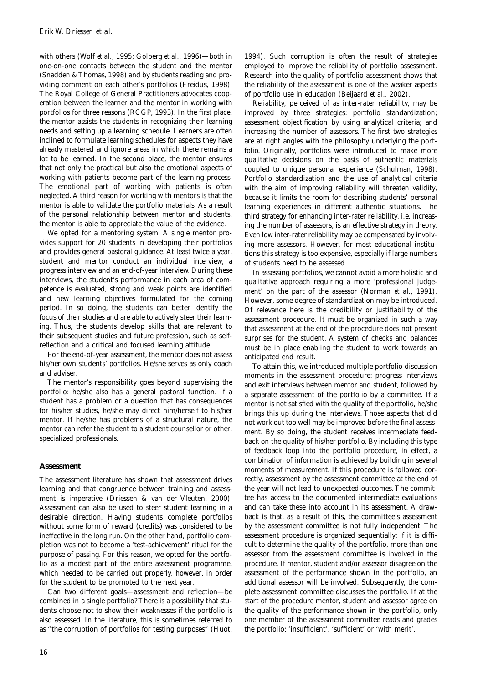with others (Wolf *et al*., 1995; Golberg *et al*., 1996)—both in one-on-one contacts between the student and the mentor (Snadden & Thomas, 1998) and by students reading and providing comment on each other's portfolios (Freidus, 1998). The Royal College of General Practitioners advocates cooperation between the learner and the mentor in working with portfolios for three reasons (RCGP, 1993). In the first place, the mentor assists the students in recognizing their learning needs and setting up a learning schedule. Learners are often inclined to formulate learning schedules for aspects they have already mastered and ignore areas in which there remains a lot to be learned. In the second place, the mentor ensures that not only the practical but also the emotional aspects of working with patients become part of the learning process. The emotional part of working with patients is often neglected. A third reason for working with mentors is that the mentor is able to validate the portfolio materials. As a result of the personal relationship between mentor and students, the mentor is able to appreciate the value of the evidence.

We opted for a mentoring system. A single mentor provides support for 20 students in developing their portfolios and provides general pastoral guidance. At least twice a year, student and mentor conduct an individual interview, a progress interview and an end-of-year interview. During these interviews, the student's performance in each area of competence is evaluated, strong and weak points are identified and new learning objectives formulated for the coming period. In so doing, the students can better identify the focus of their studies and are able to actively steer their learning. Thus, the students develop skills that are relevant to their subsequent studies and future profession, such as selfreflection and a critical and focused learning attitude.

For the end-of-year assessment, the mentor does not assess his/her own students' portfolios. He/she serves as only coach and adviser.

The mentor's responsibility goes beyond supervising the portfolio: he/she also has a general pastoral function. If a student has a problem or a question that has consequences for his/her studies, he/she may direct him/herself to his/her mentor. If he/she has problems of a structural nature, the mentor can refer the student to a student counsellor or other, specialized professionals.

#### **Assessment**

The assessment literature has shown that assessment drives learning and that congruence between training and assessment is imperative (Driessen & van der Vleuten, 2000). Assessment can also be used to steer student learning in a desirable direction. Having students complete portfolios without some form of reward (credits) was considered to be ineffective in the long run. On the other hand, portfolio completion was not to become a 'test-achievement' ritual for the purpose of passing. For this reason, we opted for the portfolio as a modest part of the entire assessment programme, which needed to be carried out properly, however, in order for the student to be promoted to the next year.

Can two different goals—assessment and reflection—be combined in a single portfolio? There is a possibility that students choose not to show their weaknesses if the portfolio is also assessed. In the literature, this is sometimes referred to as "the corruption of portfolios for testing purposes" (Huot,

16

1994). Such corruption is often the result of strategies employed to improve the reliability of portfolio assessment. Research into the quality of portfolio assessment shows that the reliability of the assessment is one of the weaker aspects of portfolio use in education (Beijaard *et al*., 2002).

Reliability, perceived of as inter-rater reliability, may be improved by three strategies: portfolio standardization; assessment objectification by using analytical criteria; and increasing the number of assessors. The first two strategies are at right angles with the philosophy underlying the portfolio. Originally, portfolios were introduced to make more qualitative decisions on the basis of authentic materials coupled to unique personal experience (Schulman, 1998). Portfolio standardization and the use of analytical criteria with the aim of improving reliability will threaten validity, because it limits the room for describing students' personal learning experiences in different authentic situations. The third strategy for enhancing inter-rater reliability, i.e. increasing the number of assessors, is an effective strategy in theory. Even low inter-rater reliability may be compensated by involving more assessors. However, for most educational institutions this strategy is too expensive, especially if large numbers of students need to be assessed.

In assessing portfolios, we cannot avoid a more holistic and qualitative approach requiring a more 'professional judgement' on the part of the assessor (Norman *et al*., 1991). However, some degree of standardization may be introduced. Of relevance here is the credibility or justifiability of the assessment procedure. It must be organized in such a way that assessment at the end of the procedure does not present surprises for the student. A system of checks and balances must be in place enabling the student to work towards an anticipated end result.

To attain this, we introduced multiple portfolio discussion moments in the assessment procedure: progress interviews and exit interviews between mentor and student, followed by a separate assessment of the portfolio by a committee. If a mentor is not satisfied with the quality of the portfolio, he/she brings this up during the interviews. Those aspects that did not work out too well may be improved before the final assessment. By so doing, the student receives intermediate feedback on the quality of his/her portfolio. By including this type of feedback loop into the portfolio procedure, in effect, a combination of information is achieved by building in several moments of measurement. If this procedure is followed correctly, assessment by the assessment committee at the end of the year will not lead to unexpected outcomes. The committee has access to the documented intermediate evaluations and can take these into account in its assessment. A drawback is that, as a result of this, the committee's assessment by the assessment committee is not fully independent. The assessment procedure is organized sequentially: if it is difficult to determine the quality of the portfolio, more than one assessor from the assessment committee is involved in the procedure. If mentor, student and/or assessor disagree on the assessment of the performance shown in the portfolio, an additional assessor will be involved. Subsequently, the complete assessment committee discusses the portfolio. If at the start of the procedure mentor, student and assessor agree on the quality of the performance shown in the portfolio, only one member of the assessment committee reads and grades the portfolio: 'insufficient', 'sufficient' or 'with merit'.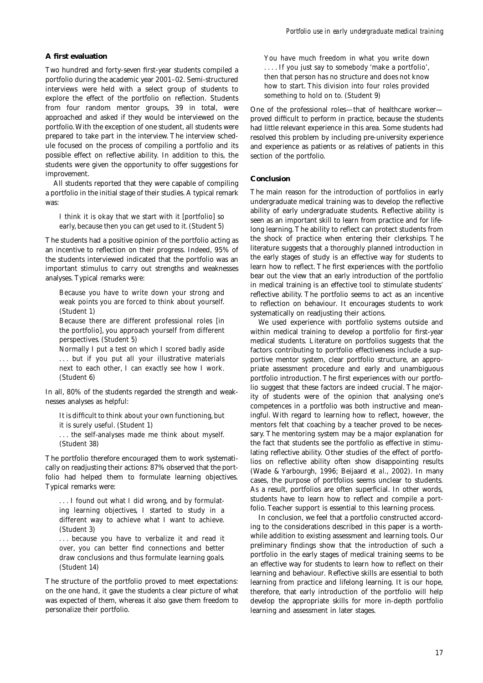# **A first evaluation**

Two hundred and forty-seven first-year students compiled a portfolio during the academic year 2001–02. Semi-structured interviews were held with a select group of students to explore the effect of the portfolio on reflection. Students from four random mentor groups, 39 in total, were approached and asked if they would be interviewed on the portfolio.With the exception of one student, all students were prepared to take part in the interview. The interview schedule focused on the process of compiling a portfolio and its possible effect on reflective ability. In addition to this, the students were given the opportunity to offer suggestions for improvement.

All students reported that they were capable of compiling a portfolio in the initial stage of their studies. A typical remark was:

I think it is okay that we start with it [portfolio] so early, because then you can get used to it. (Student 5)

The students had a positive opinion of the portfolio acting as an incentive to reflection on their progress. Indeed, 95% of the students interviewed indicated that the portfolio was an important stimulus to carry out strengths and weaknesses analyses. Typical remarks were:

Because you have to write down your strong and weak points you are forced to think about yourself. (Student 1)

Because there are different professional roles [in the portfolio], you approach yourself from different perspectives. (Student 5)

Normally I put a test on which I scored badly aside ... but if you put all your illustrative materials next to each other, I can exactly see how I work. (Student 6)

In all, 80% of the students regarded the strength and weaknesses analyses as helpful:

It is difficult to think about your own functioning, but it is surely useful. (Student 1)

. . . the self-analyses made me think about myself. (Student 38)

The portfolio therefore encouraged them to work systematically on readjusting their actions: 87% observed that the portfolio had helped them to formulate learning objectives. Typical remarks were:

. . . I found out what I did wrong, and by formulating learning objectives, I started to study in a different way to achieve what I want to achieve. (Student 3)

. . . because you have to verbalize it and read it over, you can better find connections and better draw conclusions and thus formulate learning goals. (Student 14)

The structure of the portfolio proved to meet expectations: on the one hand, it gave the students a clear picture of what was expected of them, whereas it also gave them freedom to personalize their portfolio.

You have much freedom in what you write down . . . . If you just say to somebody 'make a portfolio', then that person has no structure and does not know how to start. This division into four roles provided something to hold on to. (Student 9)

One of the professional roles—that of healthcare worker proved difficult to perform in practice, because the students had little relevant experience in this area. Some students had resolved this problem by including pre-university experience and experience as patients or as relatives of patients in this section of the portfolio.

#### **Conclusion**

The main reason for the introduction of portfolios in early undergraduate medical training was to develop the reflective ability of early undergraduate students. Reflective ability is seen as an important skill to learn from practice and for lifelong learning.The ability to reflect can protect students from the shock of practice when entering their clerkships. The literature suggests that a thoroughly planned introduction in the early stages of study is an effective way for students to learn how to reflect. The first experiences with the portfolio bear out the view that an early introduction of the portfolio in medical training is an effective tool to stimulate students' reflective ability. The portfolio seems to act as an incentive to reflection on behaviour. It encourages students to work systematically on readjusting their actions.

We used experience with portfolio systems outside and within medical training to develop a portfolio for first-year medical students. Literature on portfolios suggests that the factors contributing to portfolio effectiveness include a supportive mentor system, clear portfolio structure, an appropriate assessment procedure and early and unambiguous portfolio introduction. The first experiences with our portfolio suggest that these factors are indeed crucial. The majority of students were of the opinion that analysing one's competences in a portfolio was both instructive and meaningful. With regard to learning how to reflect, however, the mentors felt that coaching by a teacher proved to be necessary. The mentoring system may be a major explanation for the fact that students see the portfolio as effective in stimulating reflective ability. Other studies of the effect of portfolios on reflective ability often show disappointing results (Wade & Yarbourgh, 1996; Beijaard *et al*., 2002). In many cases, the purpose of portfolios seems unclear to students. As a result, portfolios are often superficial. In other words, students have to learn how to reflect and compile a portfolio. Teacher support is essential to this learning process.

In conclusion, we feel that a portfolio constructed according to the considerations described in this paper is a worthwhile addition to existing assessment and learning tools. Our preliminary findings show that the introduction of such a portfolio in the early stages of medical training seems to be an effective way for students to learn how to reflect on their learning and behaviour. Reflective skills are essential to both learning from practice and lifelong learning. It is our hope, therefore, that early introduction of the portfolio will help develop the appropriate skills for more in-depth portfolio learning and assessment in later stages.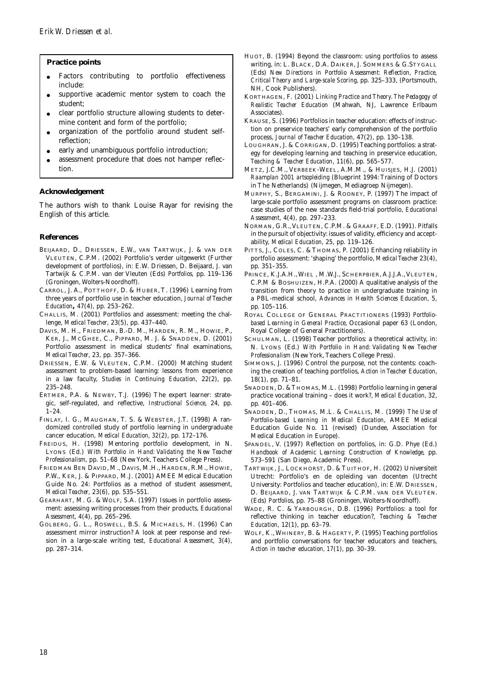#### **Practice points**

- Factors contributing to portfolio effectiveness include:
- supportive academic mentor system to coach the student;
- clear portfolio structure allowing students to determine content and form of the portfolio;
- organization of the portfolio around student selfreflection;
- early and unambiguous portfolio introduction;
- assessment procedure that does not hamper reflection.

#### **Acknowledgement**

The authors wish to thank Louise Rayar for revising the English of this article.

#### **References**

- BEIJAARD, D., DRIESSEN, E.W., VAN TARTWIJK, J. & VAN DER VLEUTEN, C.P.M. (2002) Portfolio's verder uitgewerkt (Further development of portfolios), in: E.W. Driessen, D. Beijaard, J. van Tartwijk & C.P.M. van der Vleuten (Eds) *Portfolios,* pp. 119–136 (Groningen, Wolters-Noordhoff).
- CARROL, J. A., POTTHOFF, D. & HUBER, T. (1996) Learning from three years of portfolio use in teacher education, *Journal of Teacher Education***,** 47(4), pp. 253–262.
- CHALLIS, M. (2001) Portfolios and assessment: meeting the challenge, *Medical Teacher*, 23(5), pp. 437–440.
- DAVIS, M. H., FRIEDMAN, B.-D. M., HARDEN, R. M., HOWIE, P., KER, J., MCGHEE, C., PIPPARD, M. J. & SNADDEN, D. (2001) Portfolio assessment in medical students' final examinations, *Medical Teacher*, 23, pp. 357–366.
- DRIESSEN, E.W. & VLEUTEN, C.P.M. (2000) Matching student assessment to problem-based learning: lessons from experience in a law faculty, *Studies in Continuing Education*, 22(2), pp. 235–248.
- ERTMER, P.A. & NEWBY, T.J. (1996) The expert learner: strategic, self-regulated, and reflective, *Instructional Science*, 24, pp. 1–24.
- FINLAY, I. G., MAUGHAN, T. S. & WEBSTER, J.T. (1998) A randomized controlled study of portfolio learning in undergraduate cancer education, *Medical Education, 32*(2), pp. 172–176.
- FREIDUS, H. (1998) Mentoring portfolio development, in N. LYONS (Ed.) *With Portfolio in Hand: Validating the New Teacher Professionalism*, pp. 51–68 (New York, Teachers College Press).
- FRIEDMAN BEN DAVID, M., DAVIS, M.H., HARDEN, R.M., HOWIE, P.W., KER, J. & PIPPARD, M.J. (2001) AMEE Medical Education Guide No. 24: Portfolios as a method of student assessment, *Medical Teacher*, 23(6), pp. 535–551.
- GEARHART, M. G. & WOLF, S.A. (1997) Issues in portfolio assessment: assessing writing processes from their products, *Educational Assessment*, 4(4), pp. 265–296.
- GOLBERG, G. L., ROSWELL, B.S. & MICHAELS, H. (1996) Can assessment mirror instruction? A look at peer response and revision in a large-scale writing test, *Educational Assessment*, 3(4), pp. 287–314.
- HUOT, B. (1994) Beyond the classroom: using portfolios to assess writing, in: L. BLACK, D.A. DAIKER, J. SOMMERS & G.STYGALL (Eds) *New Directions in Portfolio Assessment: Reflection, Practice, Critical Theory and Large-scale Scoring*, pp. 325–333, (Portsmouth, NH, Cook Publishers).
- KORTHAGEN, F. (2001) *Linking Practice and Theory.The Pedagogy of Realistic Teacher Education* (Mahwah, NJ, Lawrence Erlbaum Associates).
- KRAUSE, S. (1996) Portfolios in teacher education: effects of instruction on preservice teachers' early comprehension of the portfolio process, *Journal of Teacher Education*, 47(2), pp. 130–138.
- LOUGHRAN, J. & CORRIGAN, D. (1995) Teaching portfolios: a strategy for developing learning and teaching in preservice education, *Teaching & Teacher Education*, 11(6), pp. 565–577.
- METZ, J.C.M., VERBEEK-WEEL, A.M.M., & HUISJES, H.J. (2001) *Raamplan 2001 artsopleiding* (Blueprint 1994: Training of Doctors in The Netherlands) (Nijmegen, Mediagroep Nijmegen).
- MURPHY, S., BERGAMINI, J. & ROONEY, P. (1997) The impact of large-scale portfolio assessment programs on classroom practice: case studies of the new standards field-trial portfolio, *Educational Assessment*, 4(4), pp. 297–233.
- NORMAN, G.R.,VLEUTEN, C.P.M. & GRAAFF, E.D. (1991). Pitfalls in the pursuit of objectivity: issues of validity, efficiency and acceptability, *Medical Education*, 25, pp. 119–126.
- PITTS, J., COLES, C. & THOMAS, P. (2001) Enhancing reliability in portfolio assessment: 'shaping' the portfolio, *Medical Teacher* 23(4), pp. 351–355.
- PRINCE, K.J.A.H.,WIEL , M.W.J., SCHERPBIER, A.J.J.A.,VLEUTEN, C.P.M & BOSHUIZEN, H.P.A. (2000) A qualitative analysis of the transition from theory to practice in undergraduate training in a PBL-medical school, *Advances in Health Sciences Education*, 5, pp. 105–116.
- ROYAL COLLEGE OF GENERAL PRACTITIONERS (1993) *Portfoliobased Learning in General Practice*, Occasional paper 63 (London, Royal College of General Practitioners).
- SCHULMAN, L. (1998) Teacher portfolios: a theoretical activity, in: N. LYONS (Ed.) *With Portfolio in Hand: Validating New Teacher Professionalism* (New York, Teachers College Press).
- SIMMONS, J. (1996) Control the purpose, not the contents: coaching the creation of teaching portfolios, *Action in Teacher Education*, 18(1), pp. 71–81.
- SNADDEN, D. & THOMAS, M.L. (1998) Portfolio learning in general practice vocational training – does it work?, *Medical Education*, 32, pp. 401–406.
- SNADDEN, D., THOMAS, M.L. & CHALLIS, M. (1999) *The Use of Portfolio-based Learning in Medical Education*, AMEE Medical Education Guide No. 11 (revised) (Dundee, Association for Medical Education in Europe).
- SPANDEL, V. (1997) Reflection on portfolios, in: G.D. Phye (Ed.) *Handbook of Academic Learning: Construction of Knowledge*, pp. 573–591 (San Diego, Academic Press).
- TARTWIJK, J., LOCKHORST, D. & TUITHOF, H. (2002) Universiteit Utrecht: Portfolio's en de opleiding van docenten (Utrecht University: Portfolios and teacher education), in: E.W. DRIESSEN, D. BEIJAARD, J. VAN TARTWIJK & C.P.M. VAN DER VLEUTEN. (Eds) *Portfolios*, pp. 75–88 (Groningen, Wolters-Noordhoff).
- WADE, R. C. & YARBOURGH, D.B. (1996) Portfolios: a tool for reflective thinking in teacher education?, *Teaching & Teacher Education*, 12(1), pp. 63–79.
- WOLF, K., WHINERY, B. & HAGERTY, P. (1995) Teaching portfolios and portfolio conversations for teacher educators and teachers, *Action in teacher education, 17*(1), pp. 30–39.